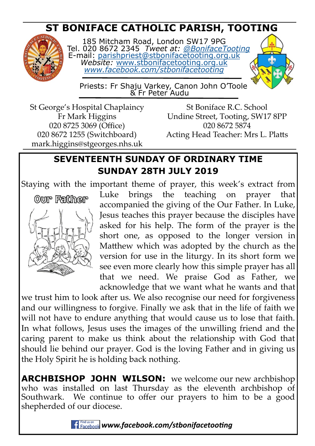# **ST BONIFACE CATHOLIC PARISH, TOOTING**



185 Mitcham Road, London SW17 9PG Tel. 020 8672 2345 *Tweet at: [@BonifaceTooting](http://twitter.com/bonifacetooting)* E-mail: [parishpriest@stbonifacetooting.org.uk](mailto:parishpriest@stbonifacetooting.org.uk) *Website:* [www.stbonifacetooting.org.uk](http://www.stbonifacetooting.org.uk) *[www.facebook.com/stbonifacetooting](http://www.facebook.com/stbonifacetooting)*



 Priests: Fr Shaju Varkey, Canon John O'Toole & Fr Peter Audu

St George's Hospital Chaplaincy Fr Mark Higgins 020 8725 3069 (Office) 020 8672 1255 (Switchboard) mark.higgins@stgeorges.nhs.uk

St Boniface R.C. School Undine Street, Tooting, SW17 8PP 020 8672 5874 Acting Head Teacher: Mrs L. Platts

## **SEVENTEENTH SUNDAY OF ORDINARY TIME SUNDAY 28TH JULY 2019**

Staying with the important theme of prayer, this week's extract from



Luke brings the teaching on prayer that accompanied the giving of the Our Father. In Luke, Jesus teaches this prayer because the disciples have asked for his help. The form of the prayer is the short one, as opposed to the longer version in Matthew which was adopted by the church as the version for use in the liturgy. In its short form we see even more clearly how this simple prayer has all that we need. We praise God as Father, we acknowledge that we want what he wants and that

we trust him to look after us. We also recognise our need for forgiveness and our willingness to forgive. Finally we ask that in the life of faith we will not have to endure anything that would cause us to lose that faith. In what follows, Jesus uses the images of the unwilling friend and the caring parent to make us think about the relationship with God that should lie behind our prayer. God is the loving Father and in giving us the Holy Spirit he is holding back nothing.

**ARCHBISHOP JOHN WILSON:** we welcome our new archbishop who was installed on last Thursday as the eleventh archbishop of Southwark. We continue to offer our prayers to him to be a good shepherded of our diocese.



*F Facebook www.facebook.com/stbonifacetooting*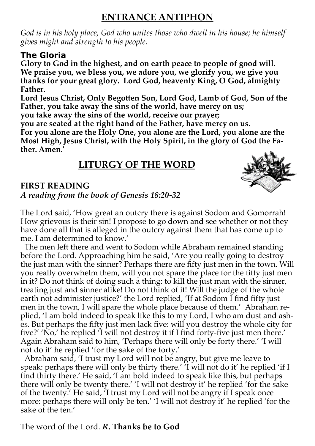## **ENTRANCE ANTIPHON**

*God is in his holy place, God who unites those who dwell in his house; he himself gives might and strength to his people.* 

### **The Gloria**

**Glory to God in the highest, and on earth peace to people of good will. We praise you, we bless you, we adore you, we glorify you, we give you thanks for your great glory. Lord God, heavenly King, O God, almighty Father.** 

**Lord Jesus Christ, Only Begotten Son, Lord God, Lamb of God, Son of the Father, you take away the sins of the world, have mercy on us;**

**you take away the sins of the world, receive our prayer;**

**you are seated at the right hand of the Father, have mercy on us.** 

**For you alone are the Holy One, you alone are the Lord, you alone are the Most High, Jesus Christ, with the Holy Spirit, in the glory of God the Father. Amen.'**

## **LITURGY OF THE WORD**



## **FIRST READING**

## *A reading from the book of Genesis 18:20-32*

The Lord said, 'How great an outcry there is against Sodom and Gomorrah! How grievous is their sin! I propose to go down and see whether or not they have done all that is alleged in the outcry against them that has come up to me. I am determined to know.'

 The men left there and went to Sodom while Abraham remained standing before the Lord. Approaching him he said, 'Are you really going to destroy the just man with the sinner? Perhaps there are fifty just men in the town. Will you really overwhelm them, will you not spare the place for the fifty just men in it? Do not think of doing such a thing: to kill the just man with the sinner, treating just and sinner alike! Do not think of it! Will the judge of the whole earth not administer justice?' the Lord replied, 'If at Sodom I find fifty just men in the town, I will spare the whole place because of them.' Abraham replied, 'I am bold indeed to speak like this to my Lord, I who am dust and ashes. But perhaps the fifty just men lack five: will you destroy the whole city for five?' 'No,' he replied 'I will not destroy it if I find forty-five just men there.' Again Abraham said to him, 'Perhaps there will only be forty there.' 'I will not do it' he replied 'for the sake of the forty.'

 Abraham said, 'I trust my Lord will not be angry, but give me leave to speak: perhaps there will only be thirty there.' 'I will not do it' he replied 'if I find thirty there.' He said, 'I am bold indeed to speak like this, but perhaps there will only be twenty there.' 'I will not destroy it' he replied 'for the sake of the twenty.' He said, 'I trust my Lord will not be angry if I speak once more: perhaps there will only be ten.' 'I will not destroy it' he replied 'for the sake of the ten.'

The word of the Lord. *R***. Thanks be to God**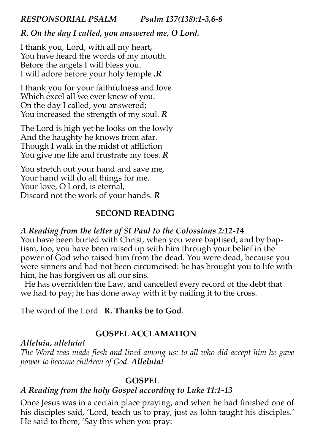#### *RESPONSORIAL PSALM Psalm 137(138):1-3,6-8*

#### *R. On the day I called, you answered me, O Lord.*

I thank you, Lord, with all my heart*,* You have heard the words of my mouth. Before the angels I will bless you. I will adore before your holy temple *.R*

I thank you for your faithfulness and love Which excel all we ever knew of you. On the day I called, you answered; You increased the strength of my soul. *R*

The Lord is high yet he looks on the lowly And the haughty he knows from afar. Though I walk in the midst of affliction You give me life and frustrate my foes. *R*

You stretch out your hand and save me, Your hand will do all things for me. Your love, O Lord, is eternal, Discard not the work of your hands. *R*

#### **SECOND READING**

#### *A Reading from the letter of St Paul to the Colossians 2:12-14*

You have been buried with Christ, when you were baptised; and by baptism, too, you have been raised up with him through your belief in the power of God who raised him from the dead. You were dead, because you were sinners and had not been circumcised: he has brought you to life with him, he has forgiven us all our sins.

 He has overridden the Law, and cancelled every record of the debt that we had to pay; he has done away with it by nailing it to the cross.

The word of the Lord **R. Thanks be to God**.

#### **GOSPEL ACCLAMATION**

#### *Alleluia, alleluia!*

*The Word was made flesh and lived among us: to all who did accept him he gave power to become children of God. Alleluia!*

#### **GOSPEL**

#### *A Reading from the holy Gospel according to Luke 11:1-13*

Once Jesus was in a certain place praying, and when he had finished one of his disciples said, 'Lord, teach us to pray, just as John taught his disciples.' He said to them, 'Say this when you pray: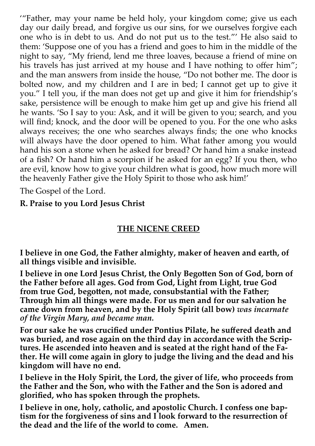'"Father, may your name be held holy, your kingdom come; give us each day our daily bread, and forgive us our sins, for we ourselves forgive each one who is in debt to us. And do not put us to the test."' He also said to them: 'Suppose one of you has a friend and goes to him in the middle of the night to say, "My friend, lend me three loaves, because a friend of mine on his travels has just arrived at my house and I have nothing to offer him"; and the man answers from inside the house, "Do not bother me. The door is bolted now, and my children and I are in bed; I cannot get up to give it you." I tell you, if the man does not get up and give it him for friendship's sake, persistence will be enough to make him get up and give his friend all he wants. 'So I say to you: Ask, and it will be given to you; search, and you will find; knock, and the door will be opened to you. For the one who asks always receives; the one who searches always finds; the one who knocks will always have the door opened to him. What father among you would hand his son a stone when he asked for bread? Or hand him a snake instead of a fish? Or hand him a scorpion if he asked for an egg? If you then, who are evil, know how to give your children what is good, how much more will the heavenly Father give the Holy Spirit to those who ask him!'

The Gospel of the Lord.

#### **R. Praise to you Lord Jesus Christ**

#### **THE NICENE CREED**

**I believe in one God, the Father almighty, maker of heaven and earth, of all things visible and invisible.**

**I believe in one Lord Jesus Christ, the Only Begotten Son of God, born of the Father before all ages. God from God, Light from Light, true God from true God, begotten, not made, consubstantial with the Father; Through him all things were made. For us men and for our salvation he came down from heaven, and by the Holy Spirit (all bow)** *was incarnate of the Virgin Mary, and became man.*

**For our sake he was crucified under Pontius Pilate, he suffered death and was buried, and rose again on the third day in accordance with the Scriptures. He ascended into heaven and is seated at the right hand of the Father. He will come again in glory to judge the living and the dead and his kingdom will have no end.**

**I believe in the Holy Spirit, the Lord, the giver of life, who proceeds from the Father and the Son, who with the Father and the Son is adored and glorified, who has spoken through the prophets.**

**I believe in one, holy, catholic, and apostolic Church. I confess one baptism for the forgiveness of sins and I look forward to the resurrection of the dead and the life of the world to come. Amen.**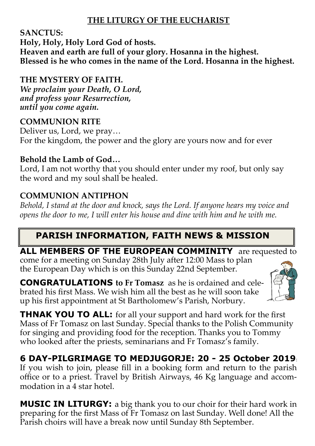#### **THE LITURGY OF THE EUCHARIST**

### **SANCTUS:**

**Holy, Holy, Holy Lord God of hosts. Heaven and earth are full of your glory. Hosanna in the highest. Blessed is he who comes in the name of the Lord. Hosanna in the highest.** 

#### **THE MYSTERY OF FAITH.**

*We proclaim your Death, O Lord, and profess your Resurrection, until you come again.* 

### **COMMUNION RITE**

Deliver us, Lord, we pray… For the kingdom, the power and the glory are yours now and for ever

### **Behold the Lamb of God…**

Lord, I am not worthy that you should enter under my roof, but only say the word and my soul shall be healed.

## **COMMUNION ANTIPHON**

*Behold, I stand at the door and knock, says the Lord. If anyone hears my voice and opens the door to me, I will enter his house and dine with him and he with me.*

## **PARISH INFORMATION, FAITH NEWS & MISSION**

**ALL MEMBERS OF THE EUROPEAN COMMINITY** are requested to come for a meeting on Sunday 28th July after 12:00 Mass to plan

the European Day which is on this Sunday 22nd September.

**CONGRATULATIONS to Fr Tomasz** as he is ordained and celebrated his first Mass. We wish him all the best as he will soon take up his first appointment at St Bartholomew's Parish, Norbury.



**THNAK YOU TO ALL:** for all your support and hard work for the first Mass of Fr Tomasz on last Sunday. Special thanks to the Polish Community for singing and providing food for the reception. Thanks you to Tommy who looked after the priests, seminarians and Fr Tomasz's family.

**6 DAY-PILGRIMAGE TO MEDJUGORJE: 20 - 25 October 2019**: If you wish to join, please fill in a booking form and return to the parish office or to a priest. Travel by British Airways, 46 Kg language and accommodation in a 4 star hotel.

**MUSIC IN LITURGY:** a big thank you to our choir for their hard work in preparing for the first Mass of Fr Tomasz on last Sunday. Well done! All the Parish choirs will have a break now until Sunday 8th September.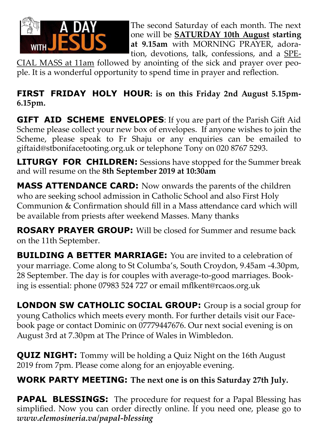

The second Saturday of each month. The next one will be **SATURDAY 10th August starting at 9.15am** with MORNING PRAYER, adoration, devotions, talk, confessions, and a SPE-

CIAL MASS at 11am followed by anointing of the sick and prayer over people. It is a wonderful opportunity to spend time in prayer and reflection.

## **FIRST FRIDAY HOLY HOUR: is on this Friday 2nd August 5.15pm-6.15pm.**

**GIFT AID SCHEME ENVELOPES**: If you are part of the Parish Gift Aid Scheme please collect your new box of envelopes. If anyone wishes to join the Scheme, please speak to Fr Shaju or any enquiries can be emailed to giftaid@stbonifacetooting.org.uk or telephone Tony on 020 8767 5293.

**LITURGY FOR CHILDREN:** Sessions have stopped for the Summer break and will resume on the **8th September 2019 at 10:30am** 

**MASS ATTENDANCE CARD:** Now onwards the parents of the children who are seeking school admission in Catholic School and also First Holy Communion & Confirmation should fill in a Mass attendance card which will be available from priests after weekend Masses. Many thanks

**ROSARY PRAYER GROUP:** Will be closed for Summer and resume back on the 11th September.

**BUILDING A BETTER MARRIAGE:** You are invited to a celebration of your marriage. Come along to St Columba's, South Croydon, 9.45am -4.30pm, 28 September. The day is for couples with average-to-good marriages. Booking is essential: phone 07983 524 727 or email mflkent@rcaos.org.uk

**LONDON SW CATHOLIC SOCIAL GROUP:** Group is a social group for young Catholics which meets every month. For further details visit our Facebook page or contact Dominic on 07779447676. Our next social evening is on August 3rd at 7.30pm at The Prince of Wales in Wimbledon.

**QUIZ NIGHT:** Tommy will be holding a Quiz Night on the 16th August 2019 from 7pm. Please come along for an enjoyable evening.

### **WORK PARTY MEETING: The next one is on this Saturday 27th July.**

**PAPAL BLESSINGS:** The procedure for request for a Papal Blessing has simplified. Now you can order directly online. If you need one, please go to *www.elemosineria.va/papal-blessing*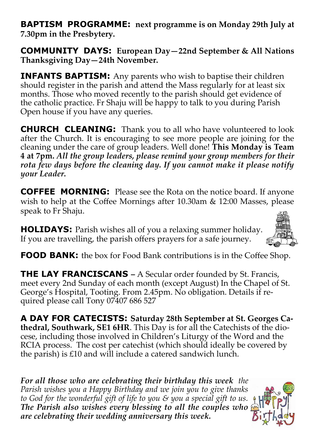**BAPTISM PROGRAMME: next programme is on Monday 29th July at 7.30pm in the Presbytery.** 

**COMMUNITY DAYS: European Day—22nd September & All Nations Thanksgiving Day—24th November.**

**INFANTS BAPTISM:** Any parents who wish to baptise their children should register in the parish and attend the Mass regularly for at least six months. Those who moved recently to the parish should get evidence of the catholic practice. Fr Shaju will be happy to talk to you during Parish Open house if you have any queries.

**CHURCH CLEANING:** Thank you to all who have volunteered to look after the Church. It is encouraging to see more people are joining for the cleaning under the care of group leaders. Well done! **This Monday is Team 4 at 7pm.** *All the group leaders, please remind your group members for their rota few days before the cleaning day. If you cannot make it please notify your Leader.* 

**COFFEE MORNING:** Please see the Rota on the notice board. If anyone wish to help at the Coffee Mornings after 10.30am & 12:00 Masses, please speak to Fr Shaju.

**HOLIDAYS:** Parish wishes all of you a relaxing summer holiday. If you are travelling, the parish offers prayers for a safe journey.



**THE LAY FRANCISCANS –** A Secular order founded by St. Francis, meet every 2nd Sunday of each month (except August) In the Chapel of St. George's Hospital, Tooting. From 2.45pm. No obligation. Details if required please call Tony 07407 686 527

**A DAY FOR CATECISTS: Saturday 28th September at St. Georges Cathedral, Southwark, SE1 6HR**. This Day is for all the Catechists of the diocese, including those involved in Children's Liturgy of the Word and the RCIA process. The cost per catechist (which should ideally be covered by the parish) is £10 and will include a catered sandwich lunch.

*For all those who are celebrating their birthday this week the Parish wishes you a Happy Birthday and we join you to give thanks to God for the wonderful gift of life to you & you a special gift to us. The Parish also wishes every blessing to all the couples who are celebrating their wedding anniversary this week.*

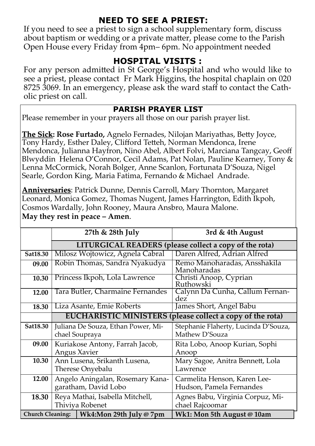## **NEED TO SEE A PRIEST:**

If you need to see a priest to sign a school supplementary form, discuss about baptism or wedding or a private matter, please come to the Parish Open House every Friday from 4pm– 6pm. No appointment needed

### **HOSPITAL VISITS :**

For any person admitted in St George's Hospital and who would like to see a priest, please contact Fr Mark Higgins, the hospital chaplain on 020 8725 3069. In an emergency, please ask the ward staff to contact the Catholic priest on call.

#### **PARISH PRAYER LIST**

Please remember in your prayers all those on our parish prayer list.

**The Sick: Rose Furtado,** Agnelo Fernades, Nilojan Mariyathas, Betty Joyce, Tony Hardy, Esther Daley, Clifford Tetteh, Norman Mendonca, Irene Mendonca, Julianna Hayfron, Nino Abel, Albert Folvi, Marciana Tangcay, Geoff Blwyddin Helena O'Connor, Cecil Adams, Pat Nolan, Pauline Kearney, Tony & Lenna McCormick, Norah Bolger, Anne Scanlon, Fortunata D'Souza, Nigel Searle, Gordon King, Maria Fatima, Fernando & Michael Andrade.

**Anniversaries**: Patrick Dunne, Dennis Carroll, Mary Thornton, Margaret Leonard, Monica Gomez, Thomas Nugent, James Harrington, Edith Ikpoh, Cosmos Wardally, John Rooney, Maura Ansbro, Maura Malone. **May they rest in peace – Amen**.

|          |                                                                  | 27th $& 28$ th July                                    | 3rd & 4th August                                         |  |  |  |
|----------|------------------------------------------------------------------|--------------------------------------------------------|----------------------------------------------------------|--|--|--|
|          |                                                                  | LITURGICAL READERS (please collect a copy of the rota) |                                                          |  |  |  |
| Sat18.30 |                                                                  | Milosz Wojtowicz, Agnela Cabral                        | Daren Alfred, Adrian Alfred                              |  |  |  |
| 09.00    |                                                                  | Robin Thomas, Sandra Nyakudya                          | Remo Manoharadas, Ansshakila<br>Manoharadas              |  |  |  |
| 10.30    |                                                                  | Princess Ikpoh, Lola Lawrence                          | Christi Anoop, Cyprian<br>Ruthowski                      |  |  |  |
| 12.00    |                                                                  | Tara Butler, Charmaine Fernandes                       | Calynn Da Cunha, Callum Fernan-<br>dez                   |  |  |  |
| 18.30    |                                                                  | Liza Asante, Emie Roberts                              | James Short, Angel Babu                                  |  |  |  |
|          | <b>EUCHARISTIC MINISTERS (please collect a copy of the rota)</b> |                                                        |                                                          |  |  |  |
| Sat18.30 | Juliana De Souza, Ethan Power, Mi-<br>chael Soupraya             |                                                        | Stephanie Flaherty, Lucinda D'Souza,<br>Mathew D'Souza   |  |  |  |
| 09.00    | Kuriakose Antony, Farrah Jacob,<br>Angus Xavier                  |                                                        | Rita Lobo, Anoop Kurian, Sophi<br>Anoop                  |  |  |  |
| 10.30    | Ann Lusena, Srikanth Lusena,<br><b>Therese Onyebalu</b>          |                                                        | Mary Sagoe, Anitra Bennett, Lola<br>Lawrence             |  |  |  |
| 12.00    | Angelo Aningalan, Rosemary Kana-<br>garatham, David Lobo         |                                                        | Carmelita Henson, Karen Lee-<br>Hudson, Pamela Fernandes |  |  |  |
| 18.30    | Reya Mathai, Isabella Mitchell,<br>Thiviya Robenet               |                                                        | Agnes Babu, Virginia Corpuz, Mi-<br>chael Rajcoomar      |  |  |  |
|          |                                                                  | Church Cleaning:   Wk4:Mon 29th July @ 7pm             | Wk1: Mon 5th August @ 10am                               |  |  |  |